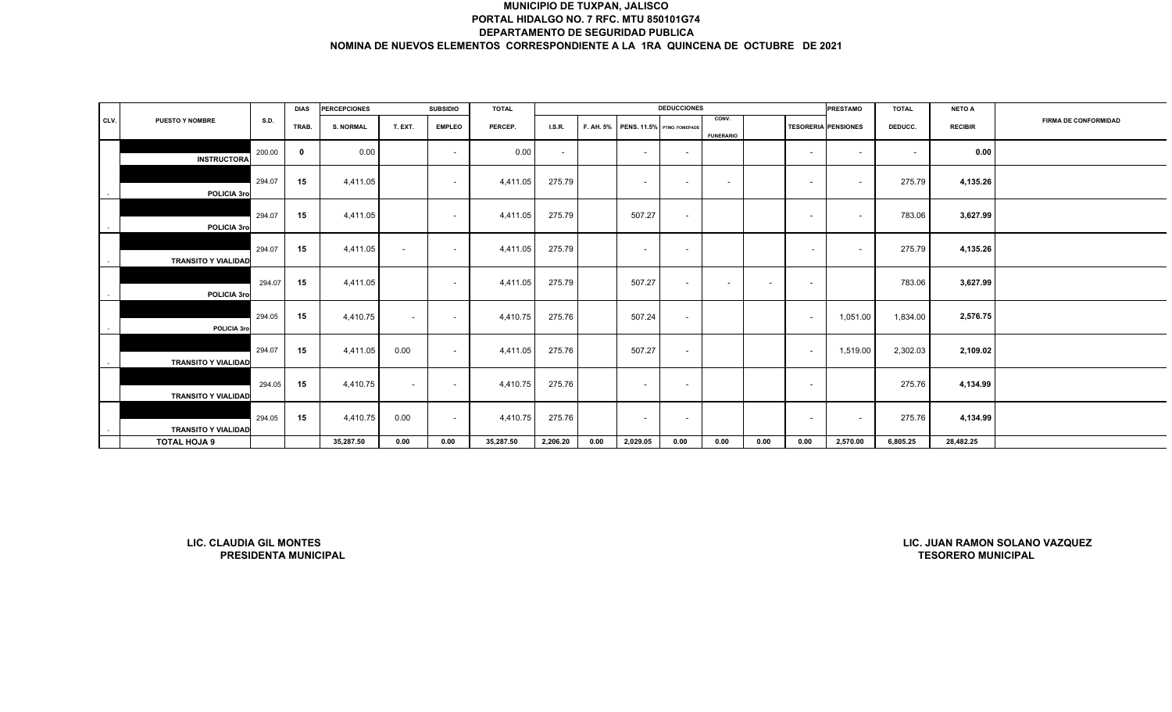|      |                                |                             | <b>DIAS</b>  | <b>PERCEPCIONES</b> |                          | <b>SUBSIDIO</b>          | <b>TOTAL</b> |          |           |                            | <b>DEDUCCIONES</b>       |                           |        |                          | <b>PRESTAMO</b>            | <b>TOTAL</b>             | <b>NETO A</b>             |                                |
|------|--------------------------------|-----------------------------|--------------|---------------------|--------------------------|--------------------------|--------------|----------|-----------|----------------------------|--------------------------|---------------------------|--------|--------------------------|----------------------------|--------------------------|---------------------------|--------------------------------|
| CLV. | PUESTO Y NOMBRE                | S.D.                        | TRAB.        | <b>S. NORMAL</b>    | T. EXT.                  | <b>EMPLEO</b>            | PERCEP.      | LSR.     | F. AH. 5% | PENS. 11.5% PTMO. FOMEPADE |                          | CONV.<br><b>FUNERARIO</b> |        |                          | <b>TESORERIA PENSIONES</b> | DEDUCC.                  | <b>RECIBIR</b>            | <b>FIRMA DE CONFORMIDAD</b>    |
|      | <b>INSTRUCTORA</b>             | 200.00                      | $\mathbf{0}$ | 0.00                |                          | $\sim$                   | 0.00         | $\sim$   |           | $\sim$                     | $\sim$                   |                           |        | $\overline{\phantom{a}}$ | $\sim$                     | $\overline{\phantom{a}}$ | 0.00                      |                                |
|      | POLICIA 3ro                    | 294.07                      | 15           | 4,411.05            |                          | $\overline{\phantom{a}}$ | 4,411.05     | 275.79   |           | $\sim$                     | $\overline{\phantom{a}}$ | $\overline{\phantom{a}}$  |        | $\overline{\phantom{a}}$ | $\sim$                     | 275.79                   | 4,135.26                  |                                |
|      | POLICIA 3ro                    | 294.07                      | 15           | 4,411.05            |                          | $\overline{\phantom{a}}$ | 4,411.05     | 275.79   |           | 507.27                     | $\sim$                   |                           |        | $\overline{\phantom{a}}$ | $\sim$                     | 783.06                   | 3,627.99                  |                                |
|      | <b>TRANSITO Y VIALIDAD</b>     | 294.07                      | 15           | 4,411.05            | $\overline{\phantom{a}}$ | $\overline{\phantom{a}}$ | 4,411.05     | 275.79   |           | $\sim$                     | $\sim$                   |                           |        | $\overline{\phantom{a}}$ | $\sim$                     | 275.79                   | 4,135.26                  |                                |
|      | POLICIA 3ro                    | 294.07                      | 15           | 4,411.05            |                          | $\sim$                   | 4,411.05     | 275.79   |           | 507.27                     | $\sim$                   | $\overline{\phantom{a}}$  | $\sim$ | $\overline{\phantom{a}}$ |                            | 783.06                   | 3,627.99                  |                                |
|      | POLICIA 3ro                    | 294.05                      | 15           | 4,410.75            | $\sim$                   | $\overline{\phantom{a}}$ | 4,410.75     | 275.76   |           | 507.24                     | $\sim$                   |                           |        | $\sim$                   | 1,051.00                   | 1,834.00                 | 2,576.75                  |                                |
|      | <b>TRANSITO Y VIALIDAD</b>     | 294.07                      | 15           | 4,411.05            | 0.00                     | $\sim$                   | 4,411.05     | 275.76   |           | 507.27                     | $\sim$                   |                           |        | $\overline{\phantom{a}}$ | 1,519.00                   | 2,302.03                 | 2,109.02                  |                                |
|      | <b>TRANSITO Y VIALIDAD</b>     | 294.05                      | 15           | 4,410.75            | $\sim$                   | $\sim$                   | 4,410.75     | 275.76   |           | $\sim$                     | $\sim$                   |                           |        | $\overline{\phantom{a}}$ |                            | 275.76                   | 4,134.99                  |                                |
|      | <b>TRANSITO Y VIALIDAD</b>     | 294.05                      | 15           | 4,410.75            | 0.00                     | $\overline{\phantom{a}}$ | 4,410.75     | 275.76   |           | $\sim$                     | $\overline{\phantom{a}}$ |                           |        | $\overline{\phantom{a}}$ | $\sim$                     | 275.76                   | 4,134.99                  |                                |
|      | TOTAL HOJA 9                   |                             |              | 35,287.50           | 0.00                     | 0.00                     | 35,287.50    | 2,206.20 | 0.00      | 2,029.05                   | 0.00                     | 0.00                      | 0.00   | 0.00                     | 2,570.00                   | 6,805.25                 | 28,482.25                 |                                |
|      |                                |                             |              |                     |                          |                          |              |          |           |                            |                          |                           |        |                          |                            |                          |                           |                                |
|      | <b>LIC. CLAUDIA GIL MONTES</b> | <b>PRESIDENTA MUNICIPAL</b> |              |                     |                          |                          |              |          |           |                            |                          |                           |        |                          |                            |                          | <b>TESORERO MUNICIPAL</b> | LIC. JUAN RAMON SOLANO VAZQUEZ |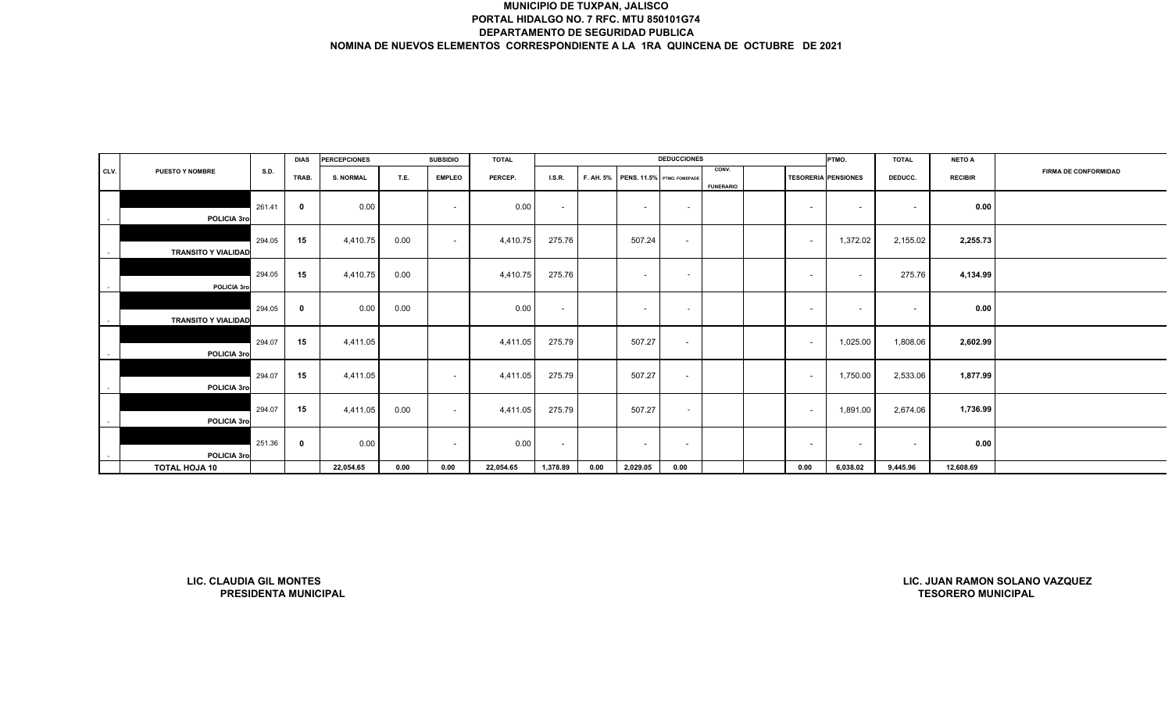|      |                                |             | <b>DIAS</b>                 | <b>PERCEPCIONES</b> |      | <b>SUBSIDIO</b>          | <b>TOTAL</b> |                          |           |                            | <b>DEDUCCIONES</b>       |                           |                            | PTMO.    | <b>TOTAL</b>             | <b>NETO A</b>             |                                |
|------|--------------------------------|-------------|-----------------------------|---------------------|------|--------------------------|--------------|--------------------------|-----------|----------------------------|--------------------------|---------------------------|----------------------------|----------|--------------------------|---------------------------|--------------------------------|
| CLV. | <b>PUESTO Y NOMBRE</b>         | <b>S.D.</b> | TRAB.                       | <b>S. NORMAL</b>    | T.E. | <b>EMPLEO</b>            | PERCEP.      | I.S.R.                   | F. AH. 5% | PENS. 11.5% PTMO. FOMEPADE |                          | CONV.<br><b>FUNERARIO</b> | <b>TESORERIA PENSIONES</b> |          | DEDUCC.                  | <b>RECIBIR</b>            | <b>FIRMA DE CONFORMIDAD</b>    |
|      | POLICIA 3ro                    | 261.41      | $\mathbf 0$                 | 0.00                |      | $\overline{\phantom{a}}$ | 0.00         | $\sim$                   |           | $\sim$                     | $\sim$                   |                           | $\sim$                     | $\sim$   | $\overline{\phantom{a}}$ | 0.00                      |                                |
|      | <b>TRANSITO Y VIALIDAD</b>     | 294.05      | 15                          | 4,410.75            | 0.00 | $\overline{\phantom{a}}$ | 4,410.75     | 275.76                   |           | 507.24                     | $\overline{\phantom{a}}$ |                           | $\sim$                     | 1,372.02 | 2,155.02                 | 2,255.73                  |                                |
|      | POLICIA 3ro                    | 294.05      | 15                          | 4,410.75            | 0.00 |                          | 4,410.75     | 275.76                   |           | $\sim$                     | $\sim$                   |                           | $\sim$                     | $\sim$   | 275.76                   | 4,134.99                  |                                |
|      | <b>TRANSITO Y VIALIDAD</b>     | 294.05      | $\mathbf 0$                 | 0.00                | 0.00 |                          | 0.00         | $\overline{\phantom{a}}$ |           | $\sim$                     | $\sim$                   |                           | $\sim$                     | $\sim$   |                          | 0.00                      |                                |
|      | POLICIA 3ro                    | 294.07      | 15                          | 4,411.05            |      |                          | 4,411.05     | 275.79                   |           | 507.27                     | $\overline{\phantom{a}}$ |                           | $\overline{\phantom{a}}$   | 1,025.00 | 1,808.06                 | 2,602.99                  |                                |
|      | POLICIA 3ro                    | 294.07      | 15                          | 4,411.05            |      | $\overline{\phantom{a}}$ | 4,411.05     | 275.79                   |           | 507.27                     | $\overline{\phantom{a}}$ |                           | $\sim$                     | 1,750.00 | 2,533.06                 | 1,877.99                  |                                |
|      | POLICIA 3ro                    | 294.07      | 15                          | 4,411.05            | 0.00 | $\sim$                   | 4,411.05     | 275.79                   |           | 507.27                     | $\sim$                   |                           | $\sim$                     | 1,891.00 | 2,674.06                 | 1,736.99                  |                                |
|      | POLICIA 3ro                    | 251.36      | $\mathbf 0$                 | 0.00                |      | $\overline{\phantom{a}}$ | 0.00         | $\sim$                   |           | $\sim$                     | $\overline{\phantom{a}}$ |                           | $\sim$                     | $\sim$   | $\sim$                   | 0.00                      |                                |
|      | <b>TOTAL HOJA 10</b>           |             |                             | 22,054.65           | 0.00 | 0.00                     | 22,054.65    | 1,378.89                 | 0.00      | 2,029.05                   | 0.00                     |                           | 0.00                       | 6,038.02 | 9,445.96                 | 12,608.69                 |                                |
|      |                                |             |                             |                     |      |                          |              |                          |           |                            |                          |                           |                            |          |                          |                           |                                |
|      | <b>LIC. CLAUDIA GIL MONTES</b> |             | <b>PRESIDENTA MUNICIPAL</b> |                     |      |                          |              |                          |           |                            |                          |                           |                            |          |                          | <b>TESORERO MUNICIPAL</b> | LIC. JUAN RAMON SOLANO VAZQUEZ |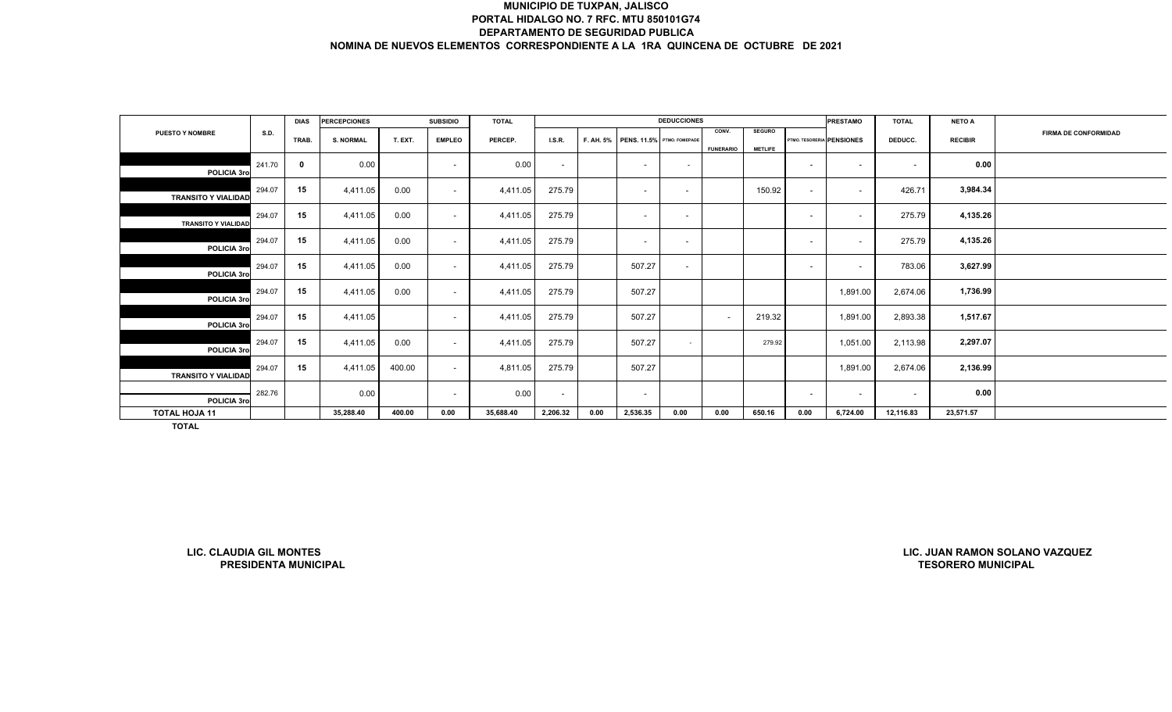|                            |        | <b>DIAS</b> | <b>PERCEPCIONES</b> |         | <b>SUBSIDIO</b>          | <b>TOTAL</b> |                          |      |                                      | <b>DEDUCCIONES</b>       |                           |                                 |                          | <b>PRESTAMO</b>           | <b>TOTAL</b>             | <b>NETO A</b>  |                             |
|----------------------------|--------|-------------|---------------------|---------|--------------------------|--------------|--------------------------|------|--------------------------------------|--------------------------|---------------------------|---------------------------------|--------------------------|---------------------------|--------------------------|----------------|-----------------------------|
| <b>PUESTO Y NOMBRE</b>     | S.D.   | TRAB.       | <b>S. NORMAL</b>    | T. EXT. | <b>EMPLEO</b>            | PERCEP.      | LS.R                     |      | F. AH. 5% PENS. 11.5% PTMO. FOMEPADE |                          | CONV.<br><b>FUNERARIO</b> | <b>SEGURO</b><br><b>METLIFE</b> |                          | PTMO. TESORERIA PENSIONES | DEDUCC.                  | <b>RECIBIR</b> | <b>FIRMA DE CONFORMIDAD</b> |
| POLICIA 3ro                | 241.70 | $\mathbf 0$ | 0.00                |         | $\overline{\phantom{a}}$ | 0.00         | $\overline{\phantom{a}}$ |      | $\overline{\phantom{0}}$             | $\sim$                   |                           |                                 | $\overline{\phantom{a}}$ | $\overline{\phantom{a}}$  | $\overline{\phantom{0}}$ | 0.00           |                             |
| <b>TRANSITO Y VIALIDAD</b> | 294.07 | 15          | 4,411.05            | 0.00    | $\overline{\phantom{a}}$ | 4,411.05     | 275.79                   |      | $\sim$                               | $\sim$                   |                           | 150.92                          | $\overline{a}$           | $\overline{\phantom{0}}$  | 426.71                   | 3,984.34       |                             |
| <b>TRANSITO Y VIALIDAD</b> | 294.07 | 15          | 4,411.05            | 0.00    | $\sim$                   | 4,411.05     | 275.79                   |      | $\sim$                               | $\overline{a}$           |                           |                                 | $\overline{\phantom{0}}$ | $\overline{\phantom{a}}$  | 275.79                   | 4,135.26       |                             |
| POLICIA 3ro                | 294.07 | 15          | 4,411.05            | 0.00    | $\sim$                   | 4,411.05     | 275.79                   |      | $\overline{\phantom{a}}$             | $\overline{\phantom{a}}$ |                           |                                 | $\overline{\phantom{a}}$ | $\sim$                    | 275.79                   | 4,135.26       |                             |
| POLICIA 3ro                | 294.07 | 15          | 4,411.05            | 0.00    | $\sim$                   | 4,411.05     | 275.79                   |      | 507.27                               | $\overline{\phantom{a}}$ |                           |                                 | $\overline{\phantom{0}}$ | $\overline{\phantom{a}}$  | 783.06                   | 3,627.99       |                             |
| POLICIA 3ro                | 294.07 | 15          | 4,411.05            | 0.00    | $\sim$                   | 4,411.05     | 275.79                   |      | 507.27                               |                          |                           |                                 |                          | 1,891.00                  | 2,674.06                 | 1,736.99       |                             |
| POLICIA 3ro                | 294.07 | 15          | 4,411.05            |         | $\sim$                   | 4,411.05     | 275.79                   |      | 507.27                               |                          | $\overline{\phantom{a}}$  | 219.32                          |                          | 1,891.00                  | 2,893.38                 | 1,517.67       |                             |
| POLICIA 3ro                | 294.07 | 15          | 4,411.05            | 0.00    | $\sim$                   | 4,411.05     | 275.79                   |      | 507.27                               | $\sim$                   |                           | 279.92                          |                          | 1,051.00                  | 2,113.98                 | 2,297.07       |                             |
| <b>TRANSITO Y VIALIDAD</b> | 294.07 | 15          | 4,411.05            | 400.00  | $\sim$                   | 4,811.05     | 275.79                   |      | 507.27                               |                          |                           |                                 |                          | 1,891.00                  | 2,674.06                 | 2,136.99       |                             |
| POLICIA 3ro                | 282.76 |             | 0.00                |         | $\sim$                   | 0.00         | $\sim$                   |      | $\overline{\phantom{a}}$             |                          |                           |                                 | $\sim$                   | $\sim$                    | $\overline{\phantom{a}}$ | 0.00           |                             |
| <b>TOTAL HOJA 11</b>       |        |             | 35,288.40           | 400.00  | 0.00                     | 35,688.40    | 2,206.32                 | 0.00 | 2,536.35                             | 0.00                     | 0.00                      | 650.16                          | 0.00                     | 6,724.00                  | 12,116.83                | 23,571.57      |                             |
| <b>TOTAL</b>               |        |             |                     |         |                          |              |                          |      |                                      |                          |                           |                                 |                          |                           |                          |                |                             |

**LIC. CLAUDIA GIL MONTESPRESIDENTA MUNICIPAL**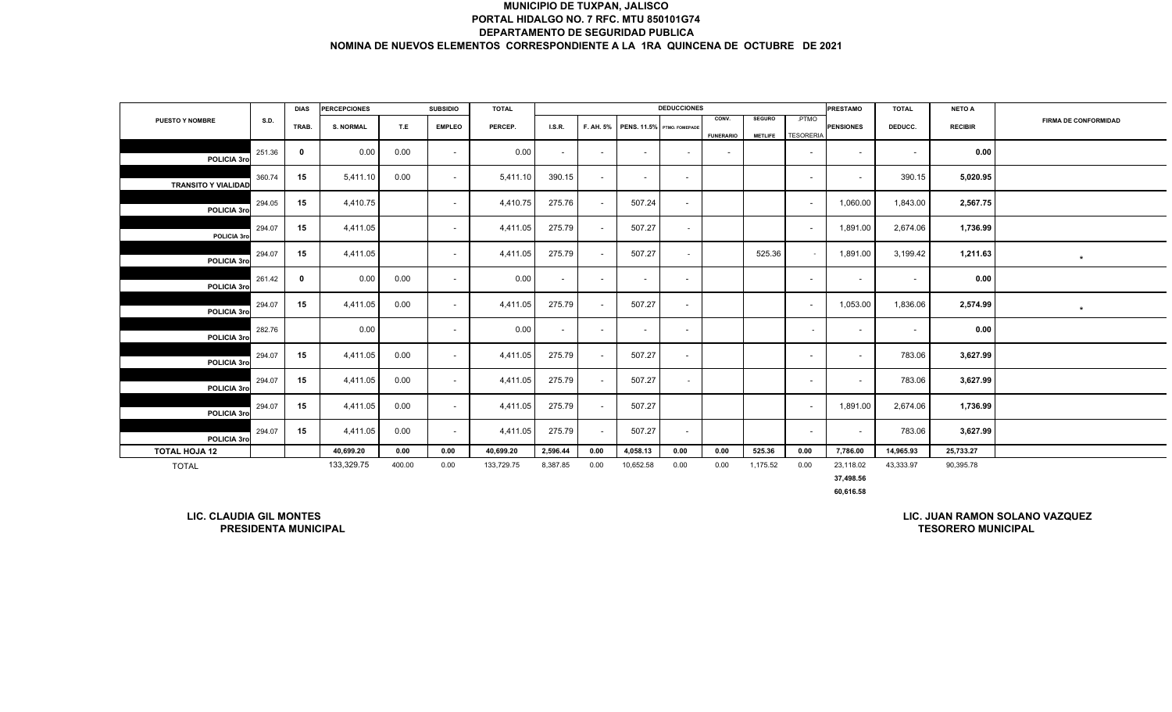|                                |             | <b>DIAS</b> | <b>PERCEPCIONES</b> |        | <b>SUBSIDIO</b>          | <b>TOTAL</b> |          |                          |                            | <b>DEDUCCIONES</b>       |                          |                |                          | <b>PRESTAMO</b>          | <b>TOTAL</b>             | <b>NETO A</b>  |                                |
|--------------------------------|-------------|-------------|---------------------|--------|--------------------------|--------------|----------|--------------------------|----------------------------|--------------------------|--------------------------|----------------|--------------------------|--------------------------|--------------------------|----------------|--------------------------------|
| <b>PUESTO Y NOMBRE</b>         | <b>S.D.</b> | TRAB.       | <b>S. NORMAL</b>    | T.E    | <b>EMPLEO</b>            | PERCEP.      | LS.R.    | F. AH. 5%                | PENS. 11.5% PTMO. FOMEPADE |                          | CONV.                    | <b>SEGURO</b>  | .PTMO                    | <b>PENSIONES</b>         | DEDUCC.                  | <b>RECIBIR</b> | <b>FIRMA DE CONFORMIDAD</b>    |
|                                |             |             |                     |        |                          |              |          |                          |                            |                          | <b>FUNERARIO</b>         | <b>METLIFE</b> | <b>TESORERIA</b>         |                          |                          |                |                                |
| POLICIA 3ro                    | 251.36      | $\mathbf 0$ | 0.00                | 0.00   | $\sim$                   | 0.00         | $\sim$   | $\overline{\phantom{a}}$ | $\overline{\phantom{a}}$   | $\sim$                   | $\overline{\phantom{a}}$ |                | $\overline{\phantom{a}}$ | $\sim$                   | $\overline{\phantom{a}}$ | 0.00           |                                |
| <b>TRANSITO Y VIALIDAD</b>     | 360.74      | 15          | 5,411.10            | 0.00   | $\sim$                   | 5,411.10     | 390.15   | $\overline{\phantom{a}}$ | $\sim$                     | $\overline{\phantom{a}}$ |                          |                | $\sim$                   | $\sim$                   | 390.15                   | 5,020.95       |                                |
| POLICIA 3ro                    | 294.05      | 15          | 4,410.75            |        | $\overline{\phantom{a}}$ | 4,410.75     | 275.76   | $\overline{\phantom{a}}$ | 507.24                     | $\overline{\phantom{a}}$ |                          |                | $\overline{\phantom{a}}$ | 1,060.00                 | 1,843.00                 | 2,567.75       |                                |
| POLICIA 3ro                    | 294.07      | 15          | 4,411.05            |        | $\sim$                   | 4,411.05     | 275.79   | $\sim$                   | 507.27                     | $\sim$                   |                          |                | $\overline{\phantom{a}}$ | 1,891.00                 | 2,674.06                 | 1,736.99       |                                |
| POLICIA 3ro                    | 294.07      | 15          | 4,411.05            |        |                          | 4,411.05     | 275.79   | $\overline{\phantom{a}}$ | 507.27                     | $\sim$                   |                          | 525.36         | $\overline{\phantom{a}}$ | 1,891.00                 | 3,199.42                 | 1,211.63       | $\star$                        |
| POLICIA 3ro                    | 261.42      | $\mathbf 0$ | 0.00                | 0.00   | $\sim$                   | 0.00         | $\sim$   | $\overline{\phantom{a}}$ | $\sim$                     | $\overline{\phantom{a}}$ |                          |                | $\overline{\phantom{a}}$ | $\blacksquare$           | $\blacksquare$           | 0.00           |                                |
| POLICIA 3ro                    | 294.07      | 15          | 4,411.05            | 0.00   |                          | 4,411.05     | 275.79   | $\overline{\phantom{a}}$ | 507.27                     | $\overline{\phantom{a}}$ |                          |                | $\overline{\phantom{a}}$ | 1,053.00                 | 1,836.06                 | 2,574.99       | $\star$                        |
| POLICIA 3ro                    | 282.76      |             | 0.00                |        | $\sim$                   | 0.00         | $\sim$   | $\sim$                   | $\sim$                     | $\sim$                   |                          |                | $\sim$                   | $\overline{\phantom{a}}$ | $\blacksquare$           | 0.00           |                                |
| POLICIA 3ro                    | 294.07      | 15          | 4,411.05            | 0.00   | $\overline{\phantom{a}}$ | 4,411.05     | 275.79   | $\sim$                   | 507.27                     | $\sim$                   |                          |                | $\overline{\phantom{a}}$ | $\overline{\phantom{a}}$ | 783.06                   | 3,627.99       |                                |
| POLICIA 3ro                    | 294.07      | 15          | 4,411.05            | 0.00   | $\overline{\phantom{a}}$ | 4,411.05     | 275.79   | $\sim$                   | 507.27                     | $\sim$                   |                          |                | $\overline{\phantom{a}}$ | $\overline{\phantom{a}}$ | 783.06                   | 3,627.99       |                                |
| POLICIA 3ro                    | 294.07      | 15          | 4,411.05            | 0.00   | $\sim$                   | 4,411.05     | 275.79   | $\sim$                   | 507.27                     |                          |                          |                | $\overline{\phantom{a}}$ | 1,891.00                 | 2,674.06                 | 1,736.99       |                                |
| POLICIA 3ro                    | 294.07      | 15          | 4,411.05            | 0.00   | $\sim$                   | 4,411.05     | 275.79   | $\sim$                   | 507.27                     | $\overline{\phantom{a}}$ |                          |                | $\overline{\phantom{a}}$ | $\sim$                   | 783.06                   | 3,627.99       |                                |
| <b>TOTAL HOJA 12</b>           |             |             | 40,699.20           | 0.00   | 0.00                     | 40,699.20    | 2,596.44 | 0.00                     | 4,058.13                   | 0.00                     | 0.00                     | 525.36         | 0.00                     | 7,786.00                 | 14,965.93                | 25,733.27      |                                |
| <b>TOTAL</b>                   |             |             | 133,329.75          | 400.00 | 0.00                     | 133,729.75   | 8,387.85 | 0.00                     | 10,652.58                  | 0.00                     | 0.00                     | 1,175.52       | 0.00                     | 23,118.02                | 43,333.97                | 90,395.78      |                                |
|                                |             |             |                     |        |                          |              |          |                          |                            |                          |                          |                |                          | 37,498.56                |                          |                |                                |
|                                |             |             |                     |        |                          |              |          |                          |                            |                          |                          |                |                          | 60,616.58                |                          |                |                                |
| <b>LIC. CLAUDIA GIL MONTES</b> |             |             |                     |        |                          |              |          |                          |                            |                          |                          |                |                          |                          |                          |                | LIC. JUAN RAMON SOLANO VAZQUEZ |

**LIC. CLAUDIA GIL MONTESPRESIDENTA MUNICIPAL**

**TESORERO MUNICIPALLIC. JUAN RAMON SOLANO VAZQUEZ**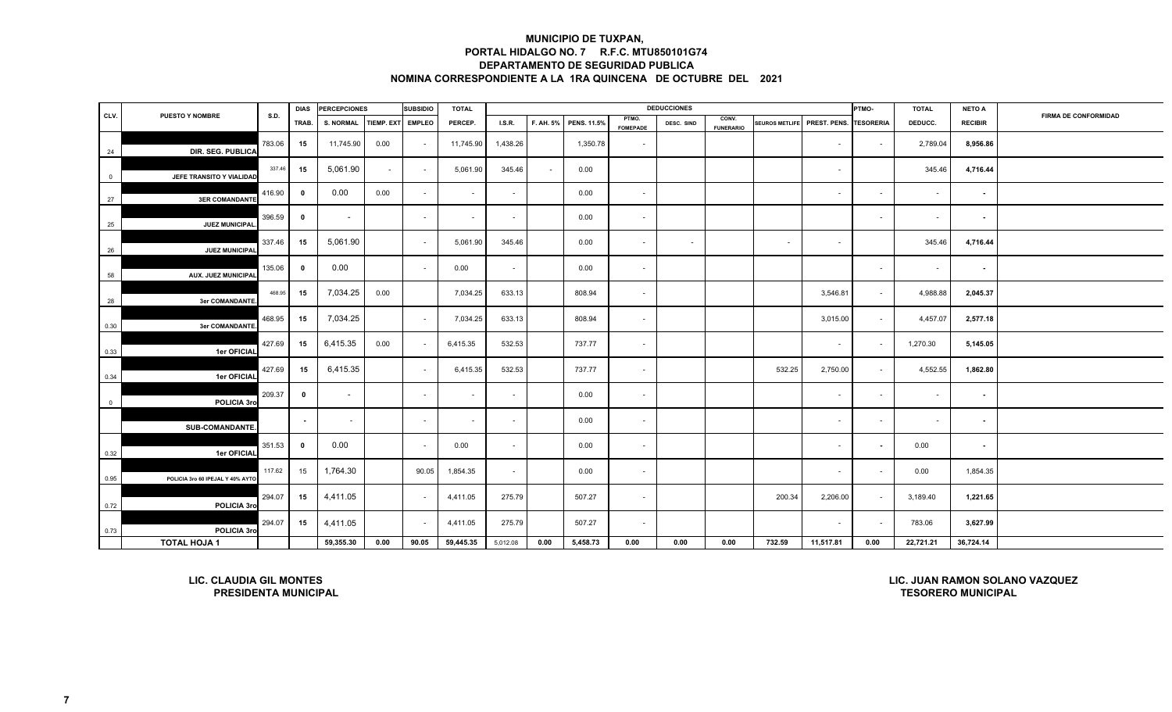|                |                                                               |             | <b>DIAS</b>             | <b>PERCEPCIONES</b>      |                   | <b>SUBSIDIO</b> | <b>TOTAL</b>             |          |           |             |                          | <b>DEDUCCIONES</b> |                           |                       |              | PTMO-                    | <b>TOTAL</b>              | <b>NETO A</b>  |                                |
|----------------|---------------------------------------------------------------|-------------|-------------------------|--------------------------|-------------------|-----------------|--------------------------|----------|-----------|-------------|--------------------------|--------------------|---------------------------|-----------------------|--------------|--------------------------|---------------------------|----------------|--------------------------------|
| CLV.           | <b>PUESTO Y NOMBRE</b>                                        | <b>S.D.</b> | TRAB.                   | <b>S. NORMAL</b>         | <b>TIEMP. EXT</b> | <b>EMPLEO</b>   | PERCEP.                  | LS.R.    | F. AH. 5% | PENS. 11.5% | PTMO.<br><b>FOMEPADE</b> | DESC. SIND         | CONV.<br><b>FUNERARIO</b> | <b>SEUROS METLIFE</b> | PREST. PENS. | <b>TESORERIA</b>         | DEDUCC.                   | <b>RECIBIR</b> | <b>FIRMA DE CONFORMIDAD</b>    |
| 24             | DIR. SEG. PUBLICA                                             | 783.06      | 15                      | 11,745.90                | 0.00              |                 | 11,745.90                | 1,438.26 |           | 1,350.78    | $\sim$                   |                    |                           |                       | $\sim$       | $\sim$                   | 2,789.04                  | 8,956.86       |                                |
| $\overline{0}$ | JEFE TRANSITO Y VIALIDAD                                      | 337.46      | 15                      | 5,061.90                 | $\sim$            | $\sim$          | 5,061.90                 | 345.46   | $\sim$    | 0.00        |                          |                    |                           |                       | $\sim$       |                          | 345.46                    | 4,716.44       |                                |
| 27             | <b>3ER COMANDANTE</b>                                         | 416.90      | $\bf{0}$                | 0.00                     | 0.00              |                 | $\overline{\phantom{a}}$ | $\sim$   |           | 0.00        | $\overline{\phantom{a}}$ |                    |                           |                       | $\sim$       | $\overline{\phantom{a}}$ | ٠                         | $\blacksquare$ |                                |
| 25             | JUEZ MUNICIPAL                                                | 396.59      | $\mathbf{0}$            | $\overline{\phantom{a}}$ |                   | $\sim$          | $\blacksquare$           | $\sim$   |           | 0.00        | $\sim$                   |                    |                           |                       |              | $\sim$                   | $\sim$                    | $\sim$         |                                |
| 26             | JUEZ MUNICIPAL                                                | 337.46      | 15                      | 5,061.90                 |                   | $\sim$          | 5,061.90                 | 345.46   |           | 0.00        | $\sim$                   | $\sim$             |                           | $\sim$                | $\sim$       |                          | 345.46                    | 4,716.44       |                                |
| 58             | <b>AUX. JUEZ MUNICIPAL</b>                                    | 135.06      | $\overline{\mathbf{0}}$ | 0.00                     |                   | $\sim$          | 0.00                     | $\sim$   |           | 0.00        | $\sim$                   |                    |                           |                       |              | $\sim$                   | $\sim$                    | $\sim$         |                                |
| 28             | 3er COMANDANTE                                                | 468.95      | 15                      | 7,034.25                 | 0.00              |                 | 7,034.25                 | 633.13   |           | 808.94      | $\overline{\phantom{a}}$ |                    |                           |                       | 3,546.81     | $\blacksquare$           | 4,988.88                  | 2,045.37       |                                |
| 0.30           | <b>3er COMANDANTE</b>                                         | 468.95      | 15                      | 7,034.25                 |                   | $\sim$          | 7,034.25                 | 633.13   |           | 808.94      | $\sim$                   |                    |                           |                       | 3,015.00     | $\sim$                   | 4,457.07                  | 2,577.18       |                                |
| 0.33           | 1er OFICIAL                                                   | 427.69      | 15                      | 6,415.35                 | 0.00              |                 | 6,415.35                 | 532.53   |           | 737.77      | $\sim$                   |                    |                           |                       | $\sim$       | $\sim$                   | 1,270.30                  | 5,145.05       |                                |
| 0.34           | 1er OFICIAL                                                   | 427.69      | 15                      | 6,415.35                 |                   |                 | 6,415.35                 | 532.53   |           | 737.77      | $\sim$                   |                    |                           | 532.25                | 2,750.00     | $\sim$                   | 4,552.55                  | 1,862.80       |                                |
| $\overline{0}$ | POLICIA 3ro                                                   | 209.37      | $\mathbf 0$             | $\overline{\phantom{a}}$ |                   | $\sim$          | $\overline{\phantom{a}}$ | $\sim$   |           | 0.00        | $\sim$                   |                    |                           |                       | $\sim$       | $\sim$                   | $\sim$                    | $\sim$         |                                |
|                | <b>SUB-COMANDANTE</b>                                         |             | $\sim$                  | $\sim$                   |                   | $\sim$          | $\overline{\phantom{a}}$ | $\sim$   |           | 0.00        | $\sim$                   |                    |                           |                       | $\sim$       | $\sim$                   | $\sim$                    | $\sim$         |                                |
| 0.32           | 1er OFICIAL                                                   | 351.53      | $\overline{\mathbf{0}}$ | 0.00                     |                   |                 | 0.00                     | $\sim$   |           | 0.00        | $\sim$                   |                    |                           |                       | $\sim$       | $\blacksquare$           | 0.00                      | $\sim$         |                                |
| 0.95           | POLICIA 3ro 60 IPEJAL Y 40% AYTO                              | 117.62      | 15                      | 1,764.30                 |                   | 90.05           | 1,854.35                 | $\sim$   |           | 0.00        | $\overline{\phantom{a}}$ |                    |                           |                       | $\sim$       | $\overline{\phantom{a}}$ | 0.00                      | 1,854.35       |                                |
| 0.72           | POLICIA 3ro                                                   | 294.07      | 15                      | 4,411.05                 |                   |                 | 4,411.05                 | 275.79   |           | 507.27      | $\sim$                   |                    |                           | 200.34                | 2,206.00     | $\sim$                   | 3,189.40                  | 1,221.65       |                                |
| 0.73           | POLICIA 3ro                                                   | 294.07      | 15                      | 4,411.05                 |                   |                 | 4,411.05                 | 275.79   |           | 507.27      | $\sim$                   |                    |                           |                       | $\sim$       | $\overline{\phantom{a}}$ | 783.06                    | 3,627.99       |                                |
|                | <b>TOTAL HOJA 1</b>                                           |             |                         | 59,355.30                | 0.00              | 90.05           | 59,445.35                | 5,012.08 | 0.00      | 5,458.73    | 0.00                     | 0.00               | 0.00                      | 732.59                | 11,517.81    | 0.00                     | 22,721.21                 | 36,724.14      |                                |
|                | <b>LIC. CLAUDIA GIL MONTES</b><br><b>PRESIDENTA MUNICIPAL</b> |             |                         |                          |                   |                 |                          |          |           |             |                          |                    |                           |                       |              |                          | <b>TESORERO MUNICIPAL</b> |                | LIC. JUAN RAMON SOLANO VAZQUEZ |

**LIC. CLAUDIA GIL MONTESPRESIDENTA MUNICIPAL** **LIC. JUAN RAMON SOLANO VAZQUEZ**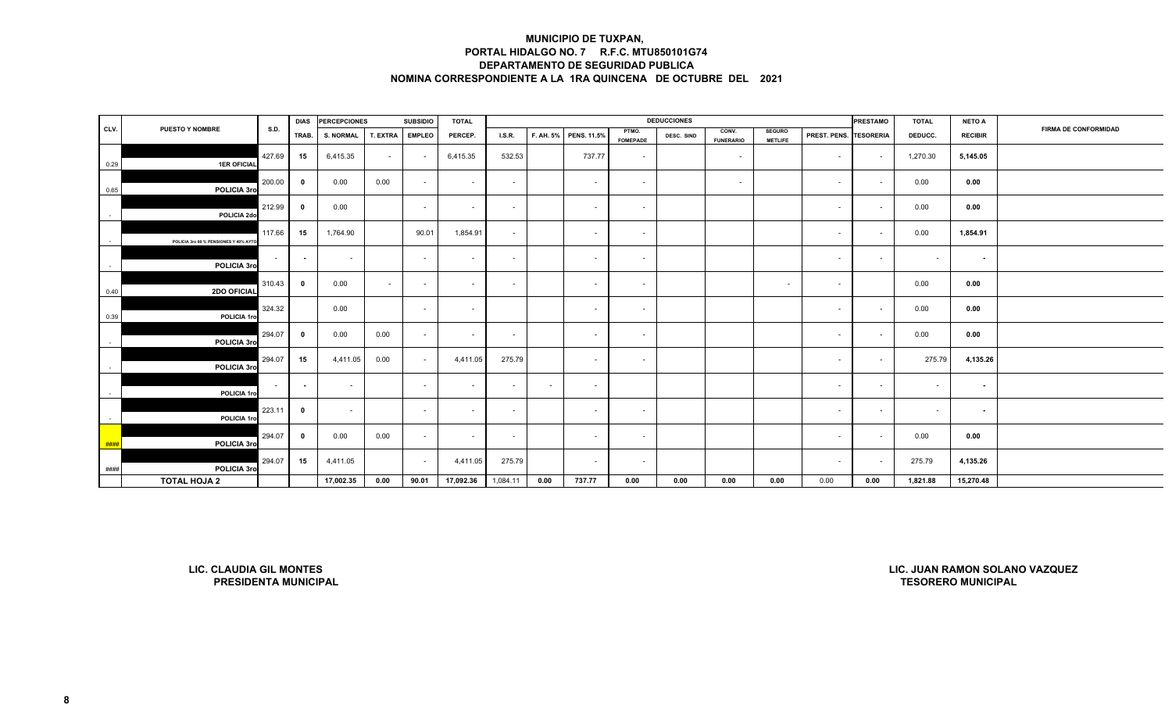|      |                                        |             |                         | DIAS PERCEPCIONES |                 | <b>SUBSIDIO</b> | <b>TOTAL</b> |          |        |                       |                          | <b>DEDUCCIONES</b> |                           |                                 |                        | <b>PRESTAMO</b> | <b>TOTAL</b> | <b>NETO A</b>  |                             |
|------|----------------------------------------|-------------|-------------------------|-------------------|-----------------|-----------------|--------------|----------|--------|-----------------------|--------------------------|--------------------|---------------------------|---------------------------------|------------------------|-----------------|--------------|----------------|-----------------------------|
| CLV. | <b>PUESTO Y NOMBRE</b>                 | <b>S.D.</b> | TRAB.                   | <b>S. NORMAL</b>  | <b>T. EXTRA</b> | <b>EMPLEO</b>   | PERCEP.      | LS.R.    |        | F. AH. 5% PENS. 11.5% | PTMO.<br><b>FOMEPADE</b> | DESC. SIND         | CONV.<br><b>FUNERARIO</b> | <b>SEGURO</b><br><b>METLIFE</b> | PREST. PENS. TESORERIA |                 | DEDUCC.      | <b>RECIBIR</b> | <b>FIRMA DE CONFORMIDAD</b> |
| 0.29 | <b>1ER OFICIAL</b>                     | 427.69      | 15                      | 6,415.35          | $\sim$          |                 | 6,415.35     | 532.53   |        | 737.77                | $\sim$                   |                    | $\sim$                    |                                 | $\sim$                 | $\sim$          | 1,270.30     | 5,145.05       |                             |
| 0.65 | POLICIA 3ro                            | 200.00      | $\overline{\mathbf{0}}$ | 0.00              | 0.00            | $\sim$          | $\sim$       | $\sim$   |        | $\sim$                | $\sim$                   |                    | $\sim$                    |                                 | $\sim$                 | $\sim$          | 0.00         | 0.00           |                             |
|      | POLICIA 2do                            | 212.99      | $\mathbf{0}$            | 0.00              |                 | $\sim$          | $\sim$       | $\sim$   |        | $\sim$                | $\sim$                   |                    |                           |                                 | $\sim$                 | $\sim$          | 0.00         | 0.00           |                             |
|      | POLICIA 3ro 60 % PENSIONES Y 40% AYTO. | 117.66      | 15                      | 1,764.90          |                 | 90.01           | 1,854.91     | $\sim$   |        | $\sim$                | $\sim$                   |                    |                           |                                 | $\sim$                 | $\sim$          | 0.00         | 1,854.91       |                             |
|      | POLICIA 3ro                            | $\sim$      | $\sim$                  | $\sim$            |                 | $\sim$          | $\sim$       | $\sim$   |        | $\sim$                | $\sim$                   |                    |                           |                                 | $\sim$                 | $\sim$          | $\sim$       | $\sim$         |                             |
| 0.40 | 2DO OFICIAL                            | 310.43      | $\mathbf{0}$            | 0.00              | $\sim$          |                 | $\sim$       | $\sim$   |        | $\sim$                | $\sim$                   |                    |                           | $\sim$                          | $\sim$                 |                 | 0.00         | 0.00           |                             |
| 0.39 | POLICIA 1ro                            | 324.32      |                         | 0.00              |                 | $\sim$          | $\sim$       |          |        | $\sim$                | $\sim$                   |                    |                           |                                 | $\sim$                 | $\sim$          | 0.00         | 0.00           |                             |
|      | POLICIA 3ro                            | 294.07      | $\mathbf{0}$            | 0.00              | 0.00            | $\sim$          | $\sim$       | $\sim$   |        | $\sim$                | $\sim$                   |                    |                           |                                 | $\sim$                 | $\sim$          | 0.00         | 0.00           |                             |
|      | POLICIA 3ro                            | 294.07      | 15                      | 4,411.05          | 0.00            | $\sim$          | 4,411.05     | 275.79   |        | $\sim$                | $\sim$                   |                    |                           |                                 | $\sim$                 | $\sim$          | 275.79       | 4,135.26       |                             |
|      | POLICIA 1ro                            | $\sim 100$  | $\sim$                  | $\sim$            |                 | $\sim$          | $\sim$       | $\sim$   | $\sim$ | $\sim$                |                          |                    |                           |                                 | $\sim$                 | $\sim$          | $\sim$       | $\sim$         |                             |
|      | POLICIA 1ro                            | 223.11      | $\overline{\mathbf{0}}$ | $\sim$            |                 | $\sim$          | $\sim$       | $\sim$   |        | $\sim$                | $\sim$                   |                    |                           |                                 | $\sim$                 | $\sim$          | ۰.           | $\sim$         |                             |
| ###  | POLICIA 3ro                            | 294.07      | $\mathbf{0}$            | 0.00              | 0.00            | $\sim$          | $\sim$       | $\sim$   |        | $\sim$                | $\sim$                   |                    |                           |                                 | $\sim$                 | $\sim$          | 0.00         | 0.00           |                             |
| #### | POLICIA 3ro                            | 294.07      | 15                      | 4,411.05          |                 | $\sim$          | 4,411.05     | 275.79   |        | $\sim$                | $\sim$                   |                    |                           |                                 | $\sim$                 | $\sim$          | 275.79       | 4,135.26       |                             |
|      | <b>TOTAL HOJA 2</b>                    |             |                         | 17,002.35         | 0.00            | 90.01           | 17,092.36    | 1,084.11 | 0.00   | 737.77                | 0.00                     | 0.00               | 0.00                      | 0.00                            | 0.00                   | 0.00            | 1,821.88     | 15,270.48      |                             |

**LIC. CLAUDIA GIL MONTESPRESIDENTA MUNICIPAL**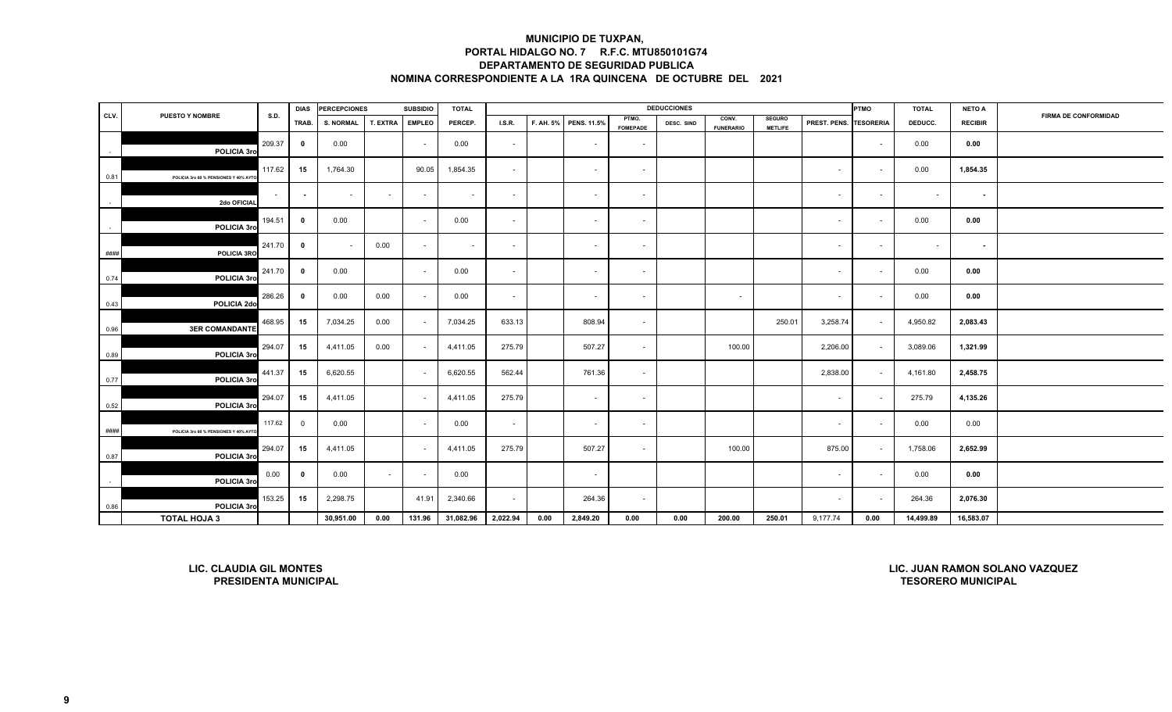|        |                                                               |             | <b>DIAS</b>             | <b>PERCEPCIONES</b> |          | <b>SUBSIDIO</b> | <b>TOTAL</b>   |          |           |             |                          | <b>DEDUCCIONES</b> |                           |                                 |              | <b>PTMO</b>      | <b>TOTAL</b>              | <b>NETO A</b>  |                                |
|--------|---------------------------------------------------------------|-------------|-------------------------|---------------------|----------|-----------------|----------------|----------|-----------|-------------|--------------------------|--------------------|---------------------------|---------------------------------|--------------|------------------|---------------------------|----------------|--------------------------------|
| CLV.   | <b>PUESTO Y NOMBRE</b>                                        | <b>S.D.</b> | TRAB.                   | <b>S. NORMAL</b>    | T. EXTRA | <b>EMPLEO</b>   | PERCEP.        | LS.R.    | F. AH. 5% | PENS. 11.5% | PTMO.<br><b>FOMEPADE</b> | DESC. SIND         | CONV.<br><b>FUNERARIO</b> | <b>SEGURO</b><br><b>METLIFE</b> | PREST. PENS. | <b>TESORERIA</b> | DEDUCC.                   | <b>RECIBIR</b> | <b>FIRMA DE CONFORMIDAD</b>    |
|        | POLICIA 3rd                                                   | 209.37      | $\mathbf{0}$            | 0.00                |          | $\sim$          | 0.00           | $\sim$   |           | $\sim$      | $\sim$                   |                    |                           |                                 |              | $\sim$           | 0.00                      | 0.00           |                                |
| 0.81   | POLICIA 3ro 60 % PENSIONES Y 40% AYT                          | 117.62      | 15                      | 1,764.30            |          | 90.05           | 1,854.35       | $\sim$   |           | $\sim$      | $\overline{\phantom{a}}$ |                    |                           |                                 | $\sim$       | $\sim$           | 0.00                      | 1,854.35       |                                |
| $\sim$ | 2do OFICIAI                                                   | $\sim$      | $\sim$                  | $\sim$              | $\sim$   | $\sim$          | $\mathbf{r}$   | $\sim$   |           | $\sim$      | $\sim$                   |                    |                           |                                 | $\sim$       | $\sim$           | $\sim$                    | $\sim$         |                                |
| $\sim$ | POLICIA 3rd                                                   | 194.51      | $\mathbf 0$             | 0.00                |          | $\sim$          | 0.00           | $\sim$   |           | $\sim$      | $\sim$                   |                    |                           |                                 | $\sim$       | $\sim$           | 0.00                      | 0.00           |                                |
| ####   | POLICIA 3RC                                                   | 241.70      | $\overline{\mathbf{0}}$ | $\sim$              | 0.00     | $\sim$          | $\blacksquare$ | $\sim$   |           | $\sim$      | $\sim$                   |                    |                           |                                 | $\sim$       | $\sim$           | $\sim$                    | $\sim$         |                                |
| 0.74   | POLICIA 3ro                                                   | 241.70      | $\overline{\mathbf{0}}$ | 0.00                |          | $\sim$          | 0.00           | $\sim$   |           | $\sim$      | $\sim$                   |                    |                           |                                 | $\sim$       | $\sim$           | 0.00                      | 0.00           |                                |
| 0.43   | POLICIA 2do                                                   | 286.26      | $\mathbf{0}$            | 0.00                | 0.00     | $\sim$          | 0.00           | $\sim$   |           | $\sim$      | $\sim$                   |                    | $\sim$                    |                                 | $\sim$       | $\sim$           | 0.00                      | 0.00           |                                |
| 0.96   | <b>3ER COMANDANTE</b>                                         | 468.95      | 15                      | 7,034.25            | 0.00     | $\sim$          | 7,034.25       | 633.13   |           | 808.94      | $\sim$                   |                    |                           | 250.01                          | 3,258.74     | $\sim$           | 4,950.82                  | 2,083.43       |                                |
| 0.89   | POLICIA 3rd                                                   | 294.07      | 15                      | 4,411.05            | 0.00     | $\sim$          | 4,411.05       | 275.79   |           | 507.27      | $\sim$                   |                    | 100.00                    |                                 | 2,206.00     | $\sim$           | 3,089.06                  | 1,321.99       |                                |
| 0.77   | POLICIA 3ro                                                   | 441.37      | 15                      | 6,620.55            |          | $\sim$          | 6,620.55       | 562.44   |           | 761.36      | $\sim$                   |                    |                           |                                 | 2,838.00     | $\sim$           | 4,161.80                  | 2,458.75       |                                |
| 0.52   | POLICIA 3rd                                                   | 294.07      | 15                      | 4,411.05            |          | $\sim$          | 4,411.05       | 275.79   |           | $\sim$      | $\sim$                   |                    |                           |                                 | $\sim$       | $\sim$           | 275.79                    | 4,135.26       |                                |
| ####   | POLICIA 3ro 60 % PENSIONES Y 40% AYT                          | 117.62      | $\overline{0}$          | 0.00                |          | $\sim$          | 0.00           | $\sim$   |           | $\sim$      | $\sim$                   |                    |                           |                                 | $\sim$       | $\sim$           | 0.00                      | 0.00           |                                |
| 0.87   | POLICIA 3rd                                                   | 294.07      | 15                      | 4,411.05            |          | $\sim$          | 4,411.05       | 275.79   |           | 507.27      | $\sim$                   |                    | 100.00                    |                                 | 875.00       | $\sim$           | 1,758.06                  | 2,652.99       |                                |
| $\sim$ | POLICIA 3ro                                                   | 0.00        | $\mathbf{0}$            | 0.00                | $\sim$   |                 | 0.00           |          |           | $\sim$      |                          |                    |                           |                                 | $\sim$       | $\sim$           | 0.00                      | 0.00           |                                |
| 0.86   | POLICIA 3rd                                                   | 153.25      | 15                      | 2,298.75            |          | 41.91           | 2,340.66       | $\sim$   |           | 264.36      | $\sim$                   |                    |                           |                                 | $\sim$       | $\sim$           | 264.36                    | 2,076.30       |                                |
|        | <b>TOTAL HOJA 3</b>                                           |             |                         | 30,951.00           | 0.00     | 131.96          | 31,082.96      | 2,022.94 | 0.00      | 2,849.20    | 0.00                     | 0.00               | 200.00                    | 250.01                          | 9,177.74     | 0.00             | 14,499.89                 | 16,583.07      |                                |
|        | <b>LIC. CLAUDIA GIL MONTES</b><br><b>PRESIDENTA MUNICIPAL</b> |             |                         |                     |          |                 |                |          |           |             |                          |                    |                           |                                 |              |                  | <b>TESORERO MUNICIPAL</b> |                | LIC. JUAN RAMON SOLANO VAZQUEZ |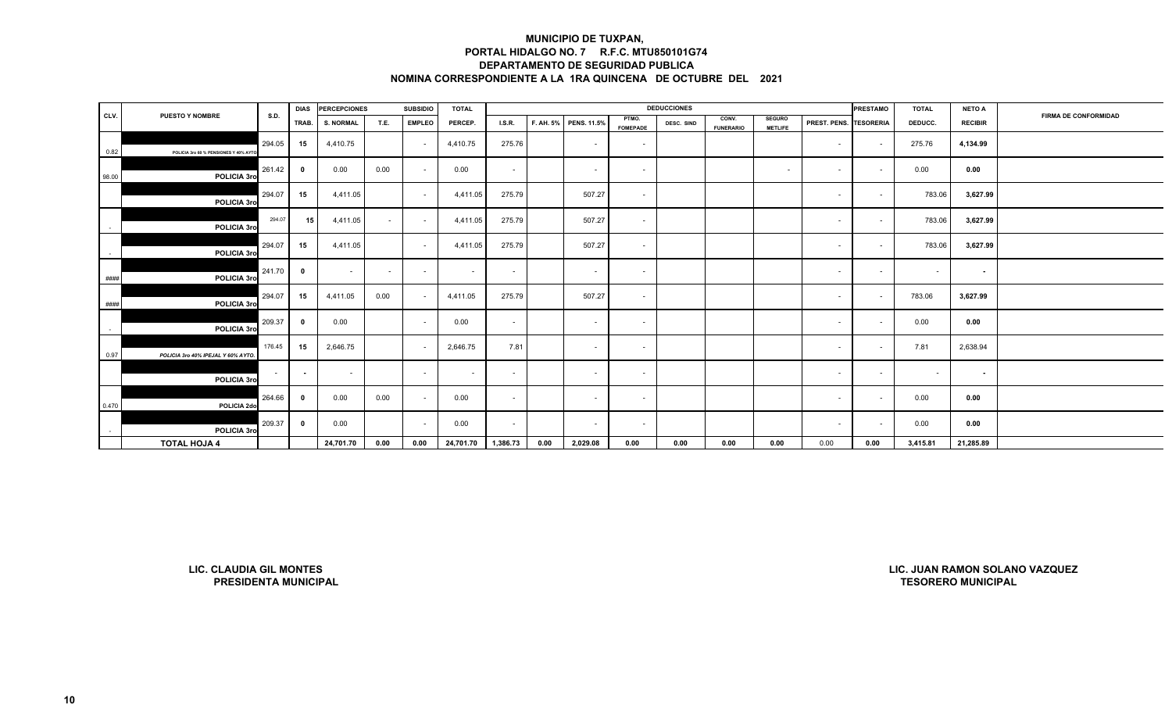|        |                                      |        | <b>DIAS</b>             | <b>PERCEPCIONES</b> |        | <b>SUBSIDIO</b> | <b>TOTAL</b> |          |      |                       |                          | <b>DEDUCCIONES</b> |                           |                                 |                        | <b>PRESTAMO</b> | <b>TOTAL</b> | <b>NETO A</b>  |                      |
|--------|--------------------------------------|--------|-------------------------|---------------------|--------|-----------------|--------------|----------|------|-----------------------|--------------------------|--------------------|---------------------------|---------------------------------|------------------------|-----------------|--------------|----------------|----------------------|
| CLV.   | <b>PUESTO Y NOMBRE</b>               | S.D.   | TRAB.                   | <b>S. NORMAL</b>    | T.E.   | <b>EMPLEO</b>   | PERCEP.      | LS.R.    |      | F. AH. 5% PENS. 11.5% | PTMO.<br><b>FOMEPADE</b> | DESC. SIND         | CONV.<br><b>FUNERARIO</b> | <b>SEGURO</b><br><b>METLIFE</b> | PREST. PENS. TESORERIA |                 | DEDUCC.      | <b>RECIBIR</b> | FIRMA DE CONFORMIDAD |
| 0.82   | POLICIA 3ro 60 % PENSIONES Y 40% AYT | 294.05 | 15                      | 4,410.75            |        |                 | 4,410.75     | 275.76   |      | $\sim$                | $\sim$                   |                    |                           |                                 | $\sim$                 | $\sim$          | 275.76       | 4,134.99       |                      |
| 98.00  | POLICIA 3ro                          | 261.42 | $\overline{\mathbf{0}}$ | 0.00                | 0.00   | $\sim$          | 0.00         | $\sim$   |      | $\sim$                | $\sim$                   |                    |                           | $\sim$                          | $\sim$                 | $\sim$          | 0.00         | 0.00           |                      |
|        | POLICIA 3ro                          | 294.07 | 15                      | 4,411.05            |        | $\sim$          | 4,411.05     | 275.79   |      | 507.27                | $\sim$                   |                    |                           |                                 | $\sim$                 | $\sim$          | 783.06       | 3,627.99       |                      |
|        | POLICIA 3ro                          | 294.07 | 15                      | 4,411.05            | $\sim$ | $\sim$          | 4,411.05     | 275.79   |      | 507.27                | $\sim$                   |                    |                           |                                 | $\sim$                 | $\sim$          | 783.06       | 3,627.99       |                      |
|        | POLICIA 3ro                          | 294.07 | 15                      | 4,411.05            |        | $\sim$          | 4,411.05     | 275.79   |      | 507.27                | $\sim$                   |                    |                           |                                 | $\sim$                 |                 | 783.06       | 3,627.99       |                      |
| ####   | POLICIA 3ro                          | 241.70 | $\mathbf{0}$            | $\sim$              | $\sim$ | $\sim$          | $\sim$       | $\sim$   |      | $\sim$                | $\sim$                   |                    |                           |                                 | $\sim$                 | $\sim$          | $\sim$       | $\sim$         |                      |
| ####   | POLICIA 3ro                          | 294.07 | 15                      | 4,411.05            | 0.00   |                 | 4,411.05     | 275.79   |      | 507.27                | $\sim$                   |                    |                           |                                 | $\sim$                 | $\sim$          | 783.06       | 3,627.99       |                      |
| $\sim$ | POLICIA 3ro                          | 209.37 | $\mathbf 0$             | 0.00                |        | $\sim$          | 0.00         | $\sim$   |      | $\sim$                | $\sim$                   |                    |                           |                                 | $\sim$                 | $\sim$          | 0.00         | 0.00           |                      |
| 0.97   | POLICIA 3ro 40% IPEJAL Y 60% AYTO    | 176.45 | 15                      | 2,646.75            |        | $\sim$          | 2,646.75     | 7.81     |      | $\sim$                | $\sim$                   |                    |                           |                                 | $\sim$                 | $\sim$          | 7.81         | 2,638.94       |                      |
|        | POLICIA 3ro                          | $\sim$ | $\sim$                  | $\sim$              |        | $\sim$          | $\sim$       | $\sim$   |      | $\sim$                | $\sim$                   |                    |                           |                                 | $\sim$                 | $\sim$          | $\sim$       | $\sim$         |                      |
| 0.470  | POLICIA 2do                          | 264.66 | 0                       | 0.00                | 0.00   | $\sim$          | 0.00         | $\sim$   |      | $\sim$                | $\sim$                   |                    |                           |                                 | $\sim$                 | $\sim$          | 0.00         | 0.00           |                      |
|        | POLICIA 3ro                          | 209.37 | $\mathbf 0$             | 0.00                |        | $\sim$          | 0.00         | $\sim$   |      |                       | $\overline{\phantom{a}}$ |                    |                           |                                 | $\sim$                 |                 | 0.00         | 0.00           |                      |
|        | <b>TOTAL HOJA 4</b>                  |        |                         | 24,701.70           | 0.00   | 0.00            | 24,701.70    | 1,386.73 | 0.00 | 2,029.08              | 0.00                     | 0.00               | 0.00                      | 0.00                            | 0.00                   | 0.00            | 3,415.81     | 21,285.89      |                      |

**LIC. CLAUDIA GIL MONTESPRESIDENTA MUNICIPAL**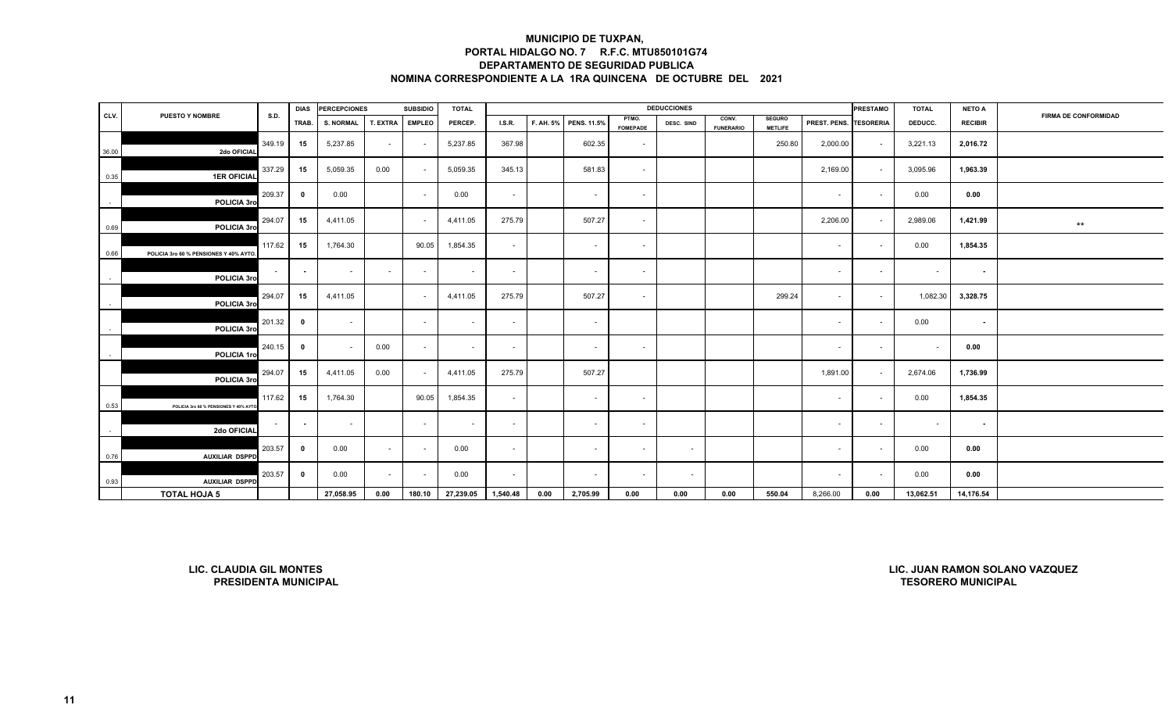|        |                                        |        | <b>DIAS</b> | <b>PERCEPCIONES</b> |          | <b>SUBSIDIO</b> | <b>TOTAL</b> |          |      |                       |                          | <b>DEDUCCIONES</b> |                           |                                 |                        | <b>PRESTAMO</b> | <b>TOTAL</b> | <b>NETO A</b>  |                             |
|--------|----------------------------------------|--------|-------------|---------------------|----------|-----------------|--------------|----------|------|-----------------------|--------------------------|--------------------|---------------------------|---------------------------------|------------------------|-----------------|--------------|----------------|-----------------------------|
| CLV.   | <b>PUESTO Y NOMBRE</b>                 | S.D.   | TRAB.       | <b>S. NORMAL</b>    | T. EXTRA | <b>EMPLEO</b>   | PERCEP.      | LS.R.    |      | F. AH. 5% PENS. 11.5% | PTMO.<br><b>FOMEPADE</b> | DESC. SIND         | CONV.<br><b>FUNERARIO</b> | <b>SEGURO</b><br><b>METLIFE</b> | PREST. PENS. TESORERIA |                 | DEDUCC.      | <b>RECIBIR</b> | <b>FIRMA DE CONFORMIDAD</b> |
| 36.00  | 2do OFICIAL                            | 349.19 | 15          | 5,237.85            | $\sim$   | $\sim$          | 5,237.85     | 367.98   |      | 602.35                | $\sim$                   |                    |                           | 250.80                          | 2,000.00               | $\sim$          | 3,221.13     | 2,016.72       |                             |
| 0.35   | <b>1ER OFICIAL</b>                     | 337.29 | 15          | 5,059.35            | 0.00     | $\sim$          | 5,059.35     | 345.13   |      | 581.83                | $\sim$                   |                    |                           |                                 | 2,169.00               | $\sim$          | 3,095.96     | 1,963.39       |                             |
| $\sim$ | POLICIA 3ro                            | 209.37 | $\mathbf 0$ | 0.00                |          | $\sim$          | 0.00         | $\sim$   |      | $\sim$                | $\sim$                   |                    |                           |                                 | $\sim$                 | $\sim$          | 0.00         | 0.00           |                             |
| 0.69   | POLICIA 3ro                            | 294.07 | 15          | 4,411.05            |          | $\sim$          | 4,411.05     | 275.79   |      | 507.27                | $\sim$                   |                    |                           |                                 | 2,206.00               | $\sim$          | 2,989.06     | 1,421.99       | $\star\star$                |
| 0.66   | POLICIA 3ro 60 % PENSIONES Y 40% AYTO. | 117.62 | 15          | 1,764.30            |          | 90.05           | 1,854.35     | $\sim$   |      | $\sim$                | $\sim$                   |                    |                           |                                 | $\sim$                 | $\sim$          | 0.00         | 1,854.35       |                             |
|        | POLICIA 3ro                            | $\sim$ | $\sim$      | $\sim$              | $\sim$   | $\sim$          | $\sim$       | $\sim$   |      | $\sim$                | $\sim$                   |                    |                           |                                 | $\sim$                 | $\sim$          | $\sim$       | $\sim$         |                             |
|        | POLICIA 3ro                            | 294.07 | 15          | 4,411.05            |          | $\sim$          | 4,411.05     | 275.79   |      | 507.27                | $\sim$                   |                    |                           | 299.24                          | $\sim$                 | $\sim$          | 1,082.30     | 3,328.75       |                             |
|        | POLICIA 3ro                            | 201.32 | $\mathbf 0$ | $\sim$              |          | $\sim$          | $\sim$       | $\sim$   |      | $\sim$                |                          |                    |                           |                                 | $\sim$                 | $\sim$          | 0.00         | $\sim$         |                             |
|        | POLICIA 1ro                            | 240.15 | $\mathbf 0$ |                     | 0.00     | $\sim$          | $\sim$       | $\sim$   |      | $\sim$                | $\sim$                   |                    |                           |                                 | $\sim$                 | $\sim$          | $\sim$       | 0.00           |                             |
|        | POLICIA 3ro                            | 294.07 | 15          | 4,411.05            | 0.00     | $\sim$          | 4,411.05     | 275.79   |      | 507.27                |                          |                    |                           |                                 | 1,891.00               | $\sim$          | 2,674.06     | 1,736.99       |                             |
| 0.53   | POLICIA 3ro 60 % PENSIONES Y 40% AYTO. | 117.62 | 15          | 1,764.30            |          | 90.05           | 1,854.35     | $\sim$   |      | $\sim$                | $\sim$                   |                    |                           |                                 | $\sim$                 | $\sim$          | 0.00         | 1,854.35       |                             |
|        | 2do OFICIAL                            | $\sim$ | $\sim$      | $\sim$              |          | $\sim$          | $\sim$       | $\sim$   |      | $\sim$                | $\sim$                   |                    |                           |                                 | $\sim$                 | $\sim$          | $\sim$       | $\sim$         |                             |
| 0.76   | <b>AUXILIAR DSPPD</b>                  | 203.57 | $\mathbf 0$ | 0.00                | $\sim$   |                 | 0.00         | $\sim$   |      | $\sim$                | $\sim$                   | $\sim$             |                           |                                 | $\sim$                 | $\sim$          | 0.00         | 0.00           |                             |
| 0.93   | <b>AUXILIAR DSPPD</b>                  | 203.57 | $\mathbf 0$ | 0.00                | $\sim$   | $\sim$          | 0.00         | $\sim$   |      | $\sim$                | $\sim$                   | $\sim$             |                           |                                 | $\sim$                 | $\sim$          | 0.00         | 0.00           |                             |
|        | <b>TOTAL HOJA 5</b>                    |        |             | 27,058.95           | 0.00     | 180.10          | 27,239.05    | 1,540.48 | 0.00 | 2,705.99              | 0.00                     | 0.00               | 0.00                      | 550.04                          | 8,266.00               | 0.00            | 13,062.51    | 14,176.54      |                             |

**LIC. CLAUDIA GIL MONTESPRESIDENTA MUNICIPAL**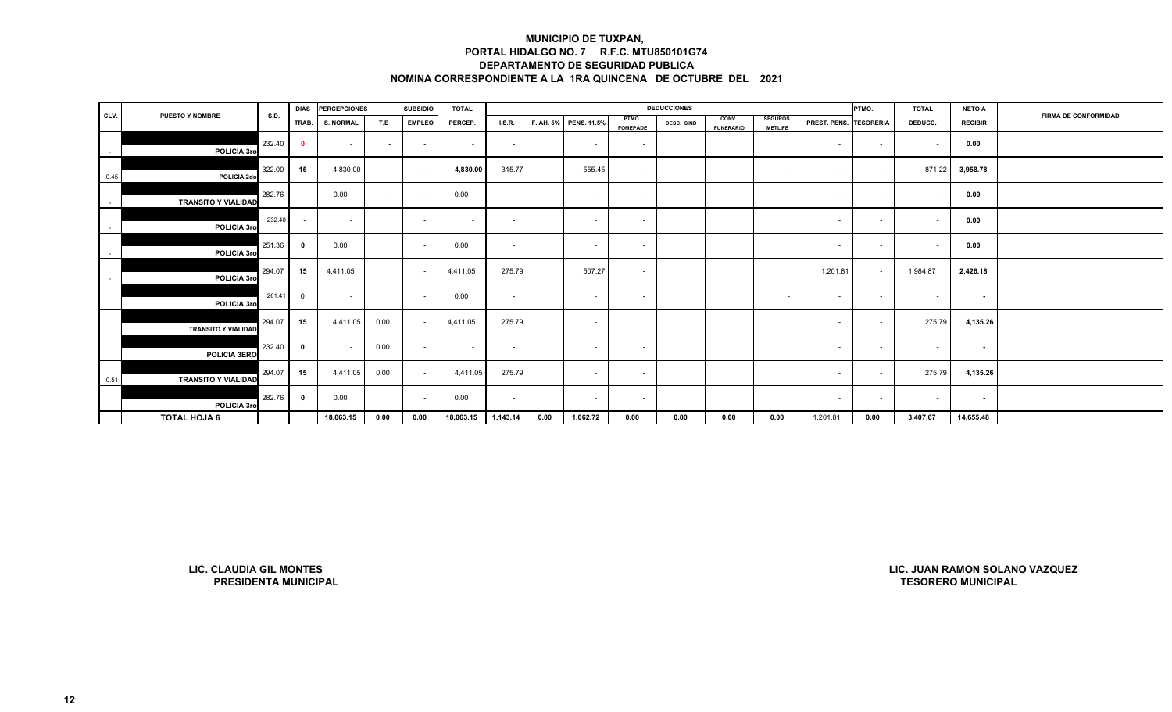|        |                                                               |             | <b>DIAS</b>             | <b>PERCEPCIONES</b> |        | <b>SUBSIDIO</b> | <b>TOTAL</b>             |          |           |                    |                          | <b>DEDUCCIONES</b> |                           |                                  |              | PTMO.            | <b>TOTAL</b>              | <b>NETO A</b>  |                                |
|--------|---------------------------------------------------------------|-------------|-------------------------|---------------------|--------|-----------------|--------------------------|----------|-----------|--------------------|--------------------------|--------------------|---------------------------|----------------------------------|--------------|------------------|---------------------------|----------------|--------------------------------|
| CLV.   | <b>PUESTO Y NOMBRE</b>                                        | <b>S.D.</b> | TRAB.                   | <b>S. NORMAL</b>    | T.E    | <b>EMPLEO</b>   | PERCEP.                  | I.S.R.   | F. AH. 5% | <b>PENS. 11.5%</b> | PTMO.<br><b>FOMEPADE</b> | DESC. SIND         | CONV.<br><b>FUNERARIO</b> | <b>SEGUROS</b><br><b>METLIFE</b> | PREST. PENS. | <b>TESORERIA</b> | DEDUCC.                   | <b>RECIBIR</b> | <b>FIRMA DE CONFORMIDAD</b>    |
| $\sim$ | POLICIA 3rd                                                   | 232.40      | $\bullet$               | $\sim$              | $\sim$ | $\sim$          | $\overline{\phantom{a}}$ | $\sim$   |           | $\sim$             | $\sim$                   |                    |                           |                                  | $\sim$       | $\sim$           | $\sim$                    | 0.00           |                                |
| 0.45   | POLICIA 2do                                                   | 322.00      | 15                      | 4,830.00            |        | $\sim$          | 4,830.00                 | 315.77   |           | 555.45             | $\sim$                   |                    |                           | $\sim$                           | $\sim$       | $\sim$           | 871.22                    | 3,958.78       |                                |
| $\sim$ | <b>TRANSITO Y VIALIDAD</b>                                    | 282.76      |                         | 0.00                | $\sim$ | $\sim$          | 0.00                     |          |           | $\sim$             | $\sim$                   |                    |                           |                                  | $\sim$       | $\sim$           | $\sim$                    | 0.00           |                                |
| $\sim$ | POLICIA 3rd                                                   | 232.40      | $\sim$                  | $\sim$              |        | $\sim$          | $\overline{\phantom{a}}$ | $\sim$   |           | $\sim$             | $\sim$                   |                    |                           |                                  | $\sim$       | $\sim$           | $\sim$                    | 0.00           |                                |
| $\sim$ | POLICIA 3ro                                                   | 251.36      | $\overline{\mathbf{0}}$ | 0.00                |        | $\sim$          | 0.00                     | $\sim$   |           | $\sim$             | $\sim$                   |                    |                           |                                  | $\sim$       | $\sim$           | $\sim$                    | 0.00           |                                |
| $\sim$ | POLICIA 3ro                                                   | 294.07      | 15                      | 4,411.05            |        | $\sim$          | 4,411.05                 | 275.79   |           | 507.27             | $\sim$                   |                    |                           |                                  | 1,201.81     | $\sim$           | 1,984.87                  | 2,426.18       |                                |
|        | POLICIA 3ro                                                   | 261.41      | $\overline{0}$          | $\sim$              |        | $\sim$          | 0.00                     | $\sim$   |           | $\sim$             | $\sim$                   |                    |                           | $\sim$                           | $\sim$       | $\sim$           | $\sim$                    | $\sim$         |                                |
|        | <b>TRANSITO Y VIALIDAD</b>                                    | 294.07      | 15                      | 4,411.05            | 0.00   | $\sim$          | 4,411.05                 | 275.79   |           | $\sim$             |                          |                    |                           |                                  | $\sim$       | $\sim$           | 275.79                    | 4,135.26       |                                |
|        | <b>POLICIA 3ERO</b>                                           | 232.40      | $\overline{\mathbf{0}}$ | $\sim$              | 0.00   | $\sim$          | $\sim$                   | $\sim$   |           | $\sim$             | $\sim$                   |                    |                           |                                  | $\sim$       | $\sim$           | $\sim$                    | $\sim$         |                                |
| 0.51   | <b>TRANSITO Y VIALIDAD</b>                                    | 294.07      | 15                      | 4,411.05            | 0.00   | $\sim$          | 4,411.05                 | 275.79   |           | $\sim$             | $\sim$                   |                    |                           |                                  | $\sim$       | $\sim$           | 275.79                    | 4,135.26       |                                |
|        | POLICIA 3ro                                                   | 282.76      | $\overline{\mathbf{0}}$ | 0.00                |        | $\sim$          | 0.00                     | $\sim$   |           | $\sim$             | $\sim$                   |                    |                           |                                  | $\sim$       | $\sim$           | $\sim$                    | $\sim$         |                                |
|        | <b>TOTAL HOJA 6</b>                                           |             |                         | 18,063.15           | 0.00   | 0.00            | 18,063.15                | 1,143.14 | 0.00      | 1,062.72           | 0.00                     | 0.00               | 0.00                      | 0.00                             | 1,201.81     | 0.00             | 3,407.67                  | 14,655.48      |                                |
|        |                                                               |             |                         |                     |        |                 |                          |          |           |                    |                          |                    |                           |                                  |              |                  |                           |                |                                |
|        | <b>LIC. CLAUDIA GIL MONTES</b><br><b>PRESIDENTA MUNICIPAL</b> |             |                         |                     |        |                 |                          |          |           |                    |                          |                    |                           |                                  |              |                  | <b>TESORERO MUNICIPAL</b> |                | LIC. JUAN RAMON SOLANO VAZQUEZ |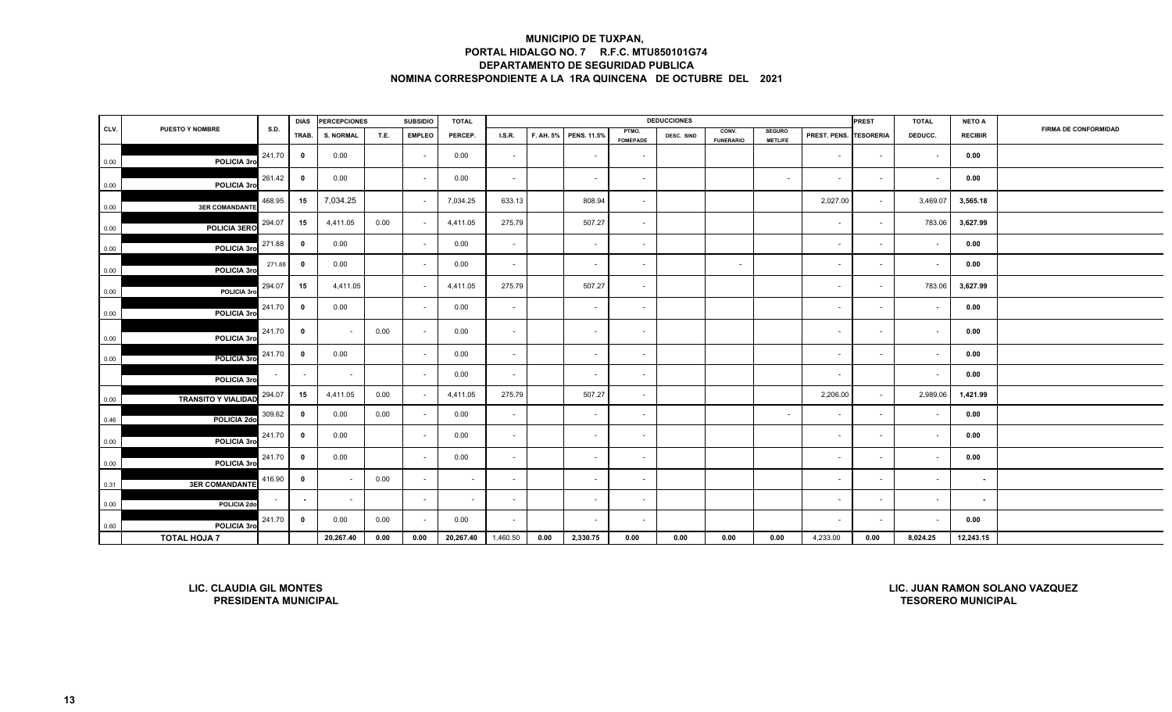| CLV.<br>0.00<br>0.00<br>0.00<br>0.00<br>0.00<br>0.00<br>0.00<br>0.00 | <b>PUESTO Y NOMBRE</b><br>POLICIA 3ro | S.D.<br>241.70 | TRAB.                   | <b>S. NORMAL</b>         | T.E. | <b>EMPLEO</b> |                          |          |      |                       |                          |            |                           |                                 |              | <b>PREST</b>             | <b>TOTAL</b> |                |                             |
|----------------------------------------------------------------------|---------------------------------------|----------------|-------------------------|--------------------------|------|---------------|--------------------------|----------|------|-----------------------|--------------------------|------------|---------------------------|---------------------------------|--------------|--------------------------|--------------|----------------|-----------------------------|
|                                                                      |                                       |                |                         |                          |      |               | PERCEP.                  | $LSR$ .  |      | F. AH. 5% PENS. 11.5% | PTMO.<br><b>FOMEPADE</b> | DESC. SIND | CONV.<br><b>FUNERARIO</b> | <b>SEGURO</b><br><b>METLIFE</b> | PREST. PENS. | <b>TESORERIA</b>         | DEDUCC.      | <b>RECIBIR</b> | <b>FIRMA DE CONFORMIDAD</b> |
|                                                                      |                                       |                | $\overline{\mathbf{0}}$ | 0.00                     |      |               | 0.00                     | $\sim$   |      |                       | $\overline{\phantom{a}}$ |            |                           |                                 | $\sim$       | $\sim$                   |              | 0.00           |                             |
|                                                                      | POLICIA 3ro                           | 261.42         | $\overline{\mathbf{0}}$ | 0.00                     |      | $\sim$        | 0.00                     | $\sim$   |      | $\sim$                | $\sim$                   |            |                           | $\sim$                          | $\sim$       | $\sim$                   | $\sim$       | 0.00           |                             |
|                                                                      | <b>3ER COMANDANTE</b>                 | 468.95         | 15                      | 7,034.25                 |      |               | 7,034.25                 | 633.13   |      | 808.94                | $\sim$                   |            |                           |                                 | 2,027.00     | $\sim$                   | 3,469.07     | 3,565.18       |                             |
|                                                                      | POLICIA 3ERO                          | 294.07         | 15                      | 4,411.05                 | 0.00 |               | 4,411.05                 | 275.79   |      | 507.27                | $\sim$                   |            |                           |                                 | $\sim$       | $\sim$                   | 783.06       | 3,627.99       |                             |
|                                                                      | POLICIA 3ro                           | 271.88         | $\overline{\mathbf{0}}$ | 0.00                     |      |               | 0.00                     | $\sim$   |      |                       | $\overline{\phantom{a}}$ |            |                           |                                 | $\sim$       |                          |              | 0.00           |                             |
|                                                                      | POLICIA 3ro                           | 271.88         | $\mathbf{0}$            | 0.00                     |      | $\sim$        | 0.00                     | $\sim$   |      | $\sim$                | $\sim$                   |            | $\sim$                    |                                 | $\sim$       | $\sim$                   | $\sim$       | 0.00           |                             |
|                                                                      | POLICIA 3rd                           | 294.07         | 15                      | 4,411.05                 |      |               | 4,411.05                 | 275.79   |      | 507.27                | $\sim$                   |            |                           |                                 | $\sim$       | $\sim$                   | 783.06       | 3,627.99       |                             |
|                                                                      | POLICIA 3ro                           | 241.70         | $\overline{\mathbf{0}}$ | 0.00                     |      |               | 0.00                     | $\sim$   |      |                       | $\sim$                   |            |                           |                                 | $\sim$       | $\blacksquare$           | $\sim$       | 0.00           |                             |
| 0.00                                                                 | POLICIA 3rd                           | 241.70         | $\overline{\mathbf{0}}$ | $\sim$                   | 0.00 | $\sim$        | 0.00                     | $\sim$   |      | $\sim$                | $\sim$                   |            |                           |                                 | $\sim$       | $\sim$                   | $\sim$       | 0.00           |                             |
| 0.00                                                                 | POLICIA 3ro                           | 241.70         | $\overline{\mathbf{0}}$ | 0.00                     |      | $\sim$        | 0.00                     | $\sim$   |      |                       | $\sim$                   |            |                           |                                 | $\sim$       | $\sim$                   | $\sim$       | 0.00           |                             |
|                                                                      | POLICIA 3ro                           |                |                         | $\overline{\phantom{a}}$ |      |               | 0.00                     | $\sim$   |      |                       | $\sim$                   |            |                           |                                 | $\sim$       |                          | $\sim$       | 0.00           |                             |
| 0.00                                                                 | <b>TRANSITO Y VIALIDAD</b>            | 294.07         | 15                      | 4,411.05                 | 0.00 |               | 4,411.05                 | 275.79   |      | 507.27                | $\overline{\phantom{a}}$ |            |                           |                                 | 2,206.00     | $\blacksquare$           | 2,989.06     | 1,421.99       |                             |
| 0.46                                                                 | POLICIA 2do                           | 309.62         | $\mathbf{0}$            | 0.00                     | 0.00 |               | 0.00                     | $\sim$   |      |                       | $\sim$                   |            |                           |                                 | $\sim$       | $\overline{\phantom{a}}$ | ٠            | 0.00           |                             |
| 0.00                                                                 | POLICIA 3ro                           | 241.70         | $\overline{\mathbf{0}}$ | 0.00                     |      | $\sim$        | 0.00                     | $\sim$   |      | $\sim$                | $\sim$                   |            |                           |                                 | $\sim$       | $\overline{\phantom{a}}$ | $\sim$       | 0.00           |                             |
| 0.00                                                                 | POLICIA 3rd                           | 241.70         | $\overline{\mathbf{0}}$ | 0.00                     |      |               | 0.00                     | $\sim$   |      |                       | $\overline{\phantom{a}}$ |            |                           |                                 | $\sim$       | $\blacksquare$           |              | 0.00           |                             |
| 0.31                                                                 | <b>3ER COMANDANTE</b>                 | 416.90         | $\overline{\mathbf{0}}$ |                          | 0.00 |               | $\sim$                   | $\sim$   |      |                       | $\sim$                   |            |                           |                                 | $\sim$       | $\blacksquare$           | $\sim$       | $\sim$         |                             |
| 0.00                                                                 | POLICIA 2do                           |                |                         | $\sim$                   |      | $\sim$        | $\overline{\phantom{a}}$ | $\sim$   |      |                       | $\sim$                   |            |                           |                                 | $\sim$       | $\blacksquare$           | $\sim$       | $\blacksquare$ |                             |
| 0.60                                                                 | POLICIA 3rd                           | 241.70         | $\overline{\mathbf{0}}$ | 0.00                     | 0.00 |               | 0.00                     | $\sim$   |      |                       | $\blacksquare$           |            |                           |                                 | $\sim$       |                          |              | 0.00           |                             |
|                                                                      | <b>TOTAL HOJA 7</b>                   |                |                         | 20,267.40                | 0.00 | 0.00          | 20,267.40                | 1,460.50 | 0.00 | 2,330.75              | 0.00                     | 0.00       | 0.00                      | 0.00                            | 4,233.00     | 0.00                     | 8,024.25     | 12,243.15      |                             |
|                                                                      |                                       |                |                         |                          |      |               |                          |          |      |                       |                          |            |                           |                                 |              |                          |              |                |                             |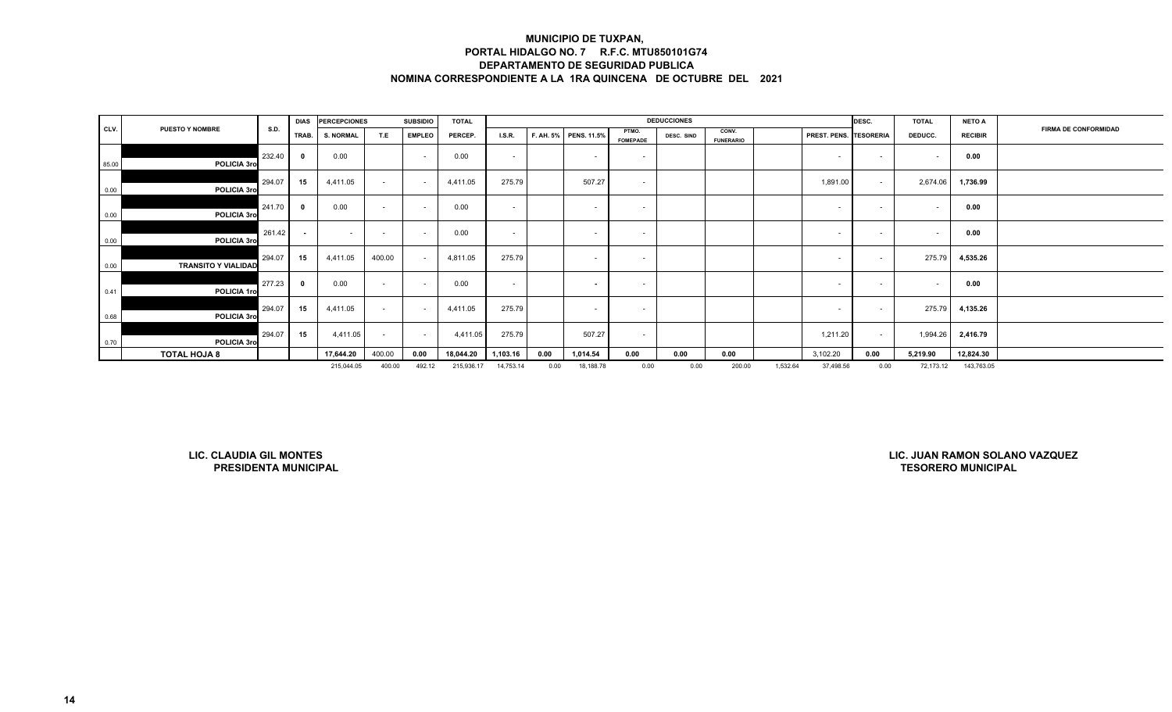|       |                            |        | <b>DIAS</b> | <b>PERCEPCIONES</b> |        | <b>SUBSIDIO</b>          | <b>TOTAL</b> |               |      |                       |                          | <b>DEDUCCIONES</b> |                           |          |                               | DESC.                    | <b>TOTAL</b> | <b>NETO A</b>  |                             |
|-------|----------------------------|--------|-------------|---------------------|--------|--------------------------|--------------|---------------|------|-----------------------|--------------------------|--------------------|---------------------------|----------|-------------------------------|--------------------------|--------------|----------------|-----------------------------|
| CLV.  | <b>PUESTO Y NOMBRE</b>     | S.D.   | TRAB.       | <b>S. NORMAL</b>    | T.E    | <b>EMPLEO</b>            | PERCEP.      | <b>I.S.R.</b> |      | F. AH. 5% PENS. 11.5% | PTMO.<br><b>FOMEPADE</b> | DESC. SIND         | CONV.<br><b>FUNERARIO</b> |          | <b>PREST. PENS. TESORERIA</b> |                          | DEDUCC.      | <b>RECIBIR</b> | <b>FIRMA DE CONFORMIDAD</b> |
| 85.00 | POLICIA 3ro                | 232.40 | - 0         | 0.00                |        | $\sim$                   | 0.00         | $\sim$        |      | $\sim$                | $\overline{\phantom{a}}$ |                    |                           |          |                               | $\sim$                   |              | 0.00           |                             |
| 0.00  | POLICIA 3ro                | 294.07 | 15          | 4,411.05            | $\sim$ | $\sim$                   | 4,411.05     | 275.79        |      | 507.27                | $\sim$                   |                    |                           |          | 1,891.00                      | $\sim$                   | 2,674.06     | 1,736.99       |                             |
| 0.00  | POLICIA 3ro                | 241.70 |             | 0.00                | $\sim$ | $\overline{\phantom{a}}$ | 0.00         | $\sim$        |      | $\sim$                | $\sim$                   |                    |                           |          | $\sim$                        | $\sim$                   |              | 0.00           |                             |
| 0.00  | POLICIA 3ro                | 261.42 |             | <b>CONTRACTOR</b>   | $\sim$ |                          | 0.00         | $\sim$        |      | <b>CONTRACTOR</b>     | $\overline{\phantom{a}}$ |                    |                           |          |                               | $\overline{\phantom{a}}$ |              | 0.00           |                             |
| 0.00  | <b>TRANSITO Y VIALIDAD</b> | 294.07 | 15          | 4,411.05            | 400.00 |                          | 4,811.05     | 275.79        |      | $\sim$                | $\overline{\phantom{a}}$ |                    |                           |          | $\sim$                        | $\sim$                   | 275.79       | 4,535.26       |                             |
| 0.41  | POLICIA 1ro                | 277.23 |             | 0.00                | $\sim$ |                          | 0.00         | $\sim$        |      | $\sim$                | $\sim$                   |                    |                           |          | $\sim$                        | $\sim$                   |              | 0.00           |                             |
| 0.68  | POLICIA 3ro                | 294.07 | 15          | 4,411.05            | $\sim$ | $\sim$                   | 4,411.05     | 275.79        |      | $\sim$                | $\sim$                   |                    |                           |          | $\sim$                        | $\sim$                   | 275.79       | 4,135.26       |                             |
| 0.70  | POLICIA 3ro                | 294.07 | 15          | 4,411.05            | $\sim$ | $\sim$                   | 4,411.05     | 275.79        |      | 507.27                | $\sim$                   |                    |                           |          | 1,211.20                      | $\sim$                   | 1,994.26     | 2,416.79       |                             |
|       | <b>TOTAL HOJA 8</b>        |        |             | 17,644.20           | 400.00 | 0.00                     | 18,044.20    | 1,103.16      | 0.00 | 1,014.54              | 0.00                     | 0.00               | 0.00                      |          | 3,102.20                      | 0.00                     | 5,219.90     | 12,824.30      |                             |
|       |                            |        |             | 215,044.05          | 400.00 | 492.12                   | 215,936.17   | 14,753.14     | 0.00 | 18,188.78             | 0.00                     | 0.00               | 200.00                    | 1,532.64 | 37,498.56                     | 0.00                     | 72,173.12    | 143,763.05     |                             |

**LIC. CLAUDIA GIL MONTESPRESIDENTA MUNICIPAL**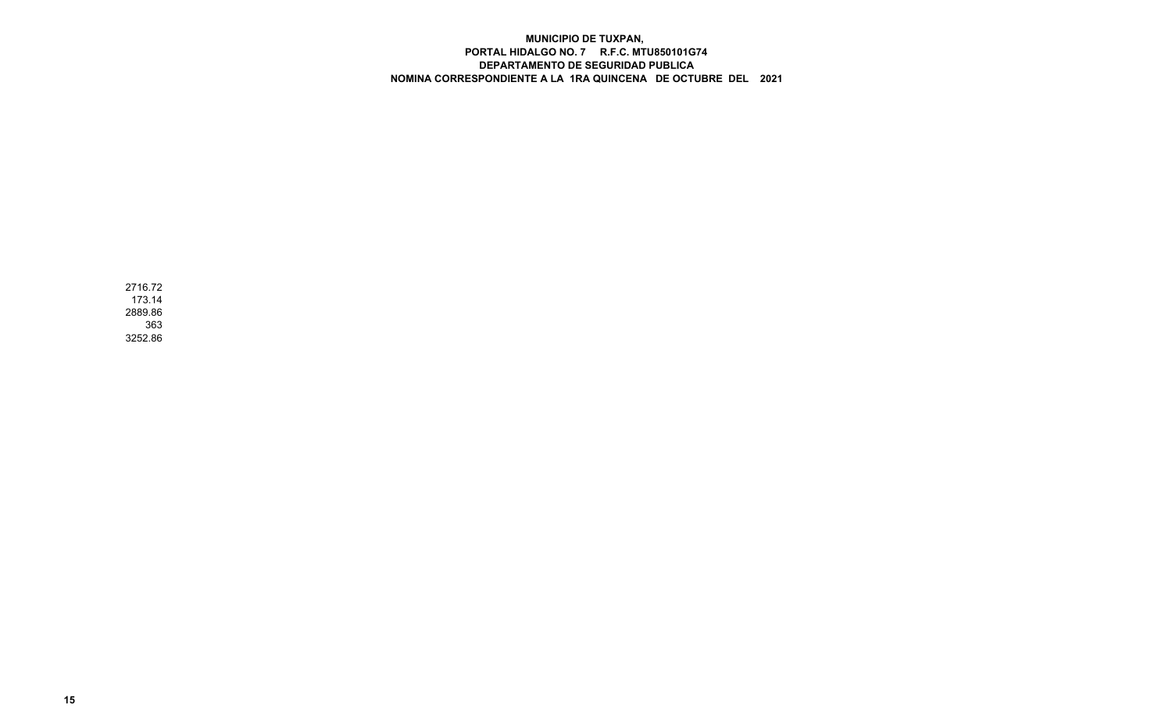2716.72 173.14 2889.86 3633252.86